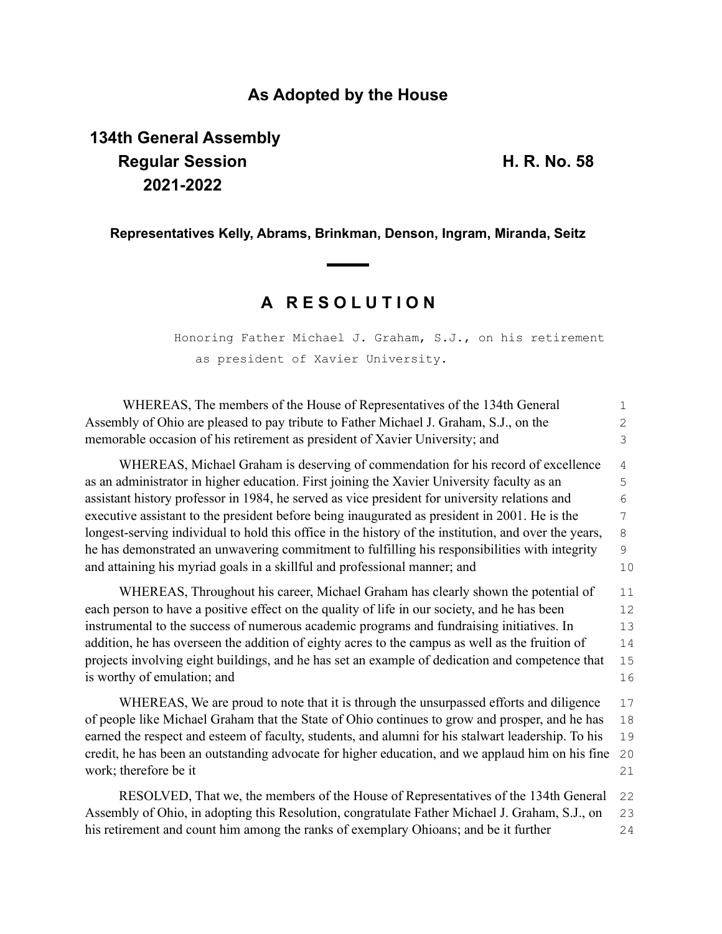### **As Adopted by the House**

# **134th General Assembly Regular Session H. R. No. 58 2021-2022**

#### **Representatives Kelly, Abrams, Brinkman, Denson, Ingram, Miranda, Seitz**

## **A R E S O L U T I O N**

Honoring Father Michael J. Graham, S.J., on his retirement as president of Xavier University.

| WHEREAS, The members of the House of Representatives of the 134th General                             | 1           |
|-------------------------------------------------------------------------------------------------------|-------------|
| Assembly of Ohio are pleased to pay tribute to Father Michael J. Graham, S.J., on the                 | 2           |
| memorable occasion of his retirement as president of Xavier University; and                           | 3           |
| WHEREAS, Michael Graham is deserving of commendation for his record of excellence                     | 4           |
| as an administrator in higher education. First joining the Xavier University faculty as an            | 5           |
| assistant history professor in 1984, he served as vice president for university relations and         | 6           |
| executive assistant to the president before being inaugurated as president in 2001. He is the         | 7           |
| longest-serving individual to hold this office in the history of the institution, and over the years, | $\,8\,$     |
| he has demonstrated an unwavering commitment to fulfilling his responsibilities with integrity        | $\mathsf 9$ |
| and attaining his myriad goals in a skillful and professional manner; and                             | 10          |
| WHEREAS, Throughout his career, Michael Graham has clearly shown the potential of                     | 11          |
| each person to have a positive effect on the quality of life in our society, and he has been          | 12          |
| instrumental to the success of numerous academic programs and fundraising initiatives. In             | 13          |
| addition, he has overseen the addition of eighty acres to the campus as well as the fruition of       | 14          |
| projects involving eight buildings, and he has set an example of dedication and competence that       | 15          |
| is worthy of emulation; and                                                                           | 16          |
| WHEREAS, We are proud to note that it is through the unsurpassed efforts and diligence                | 17          |
| of people like Michael Graham that the State of Ohio continues to grow and prosper, and he has        | 18          |
| earned the respect and esteem of faculty, students, and alumni for his stalwart leadership. To his    | 19          |
| credit, he has been an outstanding advocate for higher education, and we applaud him on his fine      | 20          |
| work; therefore be it                                                                                 | 21          |
| RESOLVED, That we, the members of the House of Representatives of the 134th General                   | 22          |
| Assembly of Ohio, in adopting this Resolution, congratulate Father Michael J. Graham, S.J., on        | 23          |
| his retirement and count him among the ranks of exemplary Ohioans; and be it further                  | 24          |